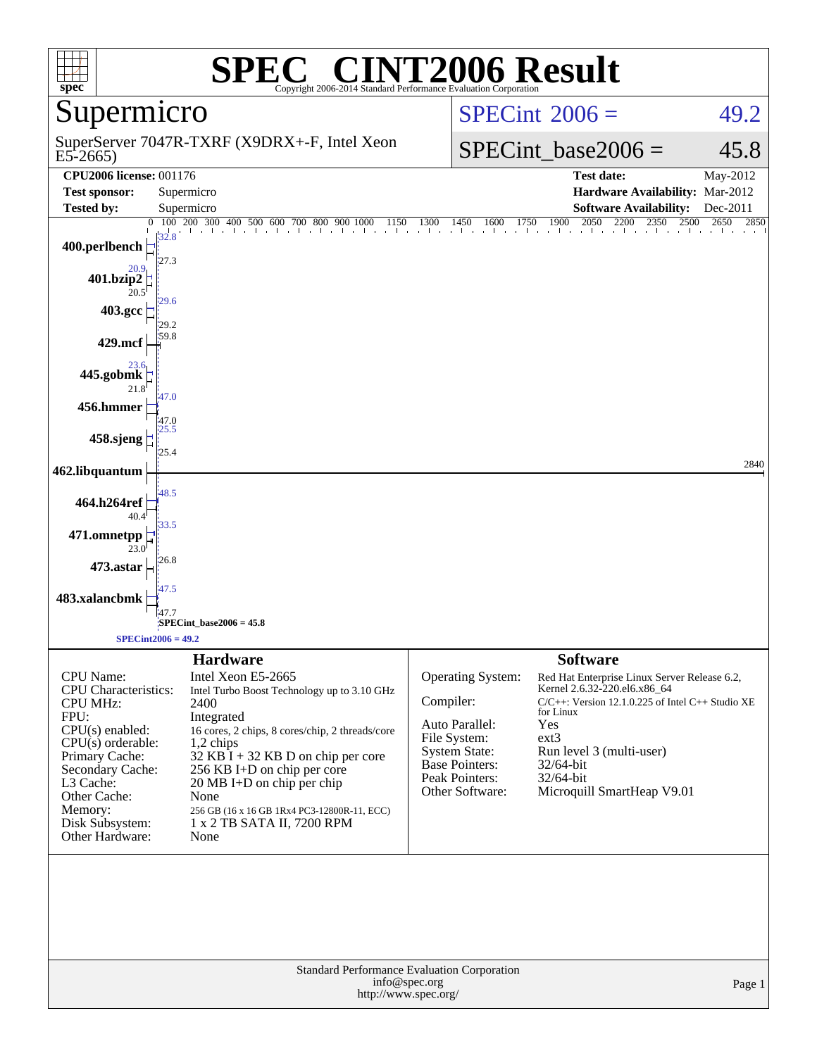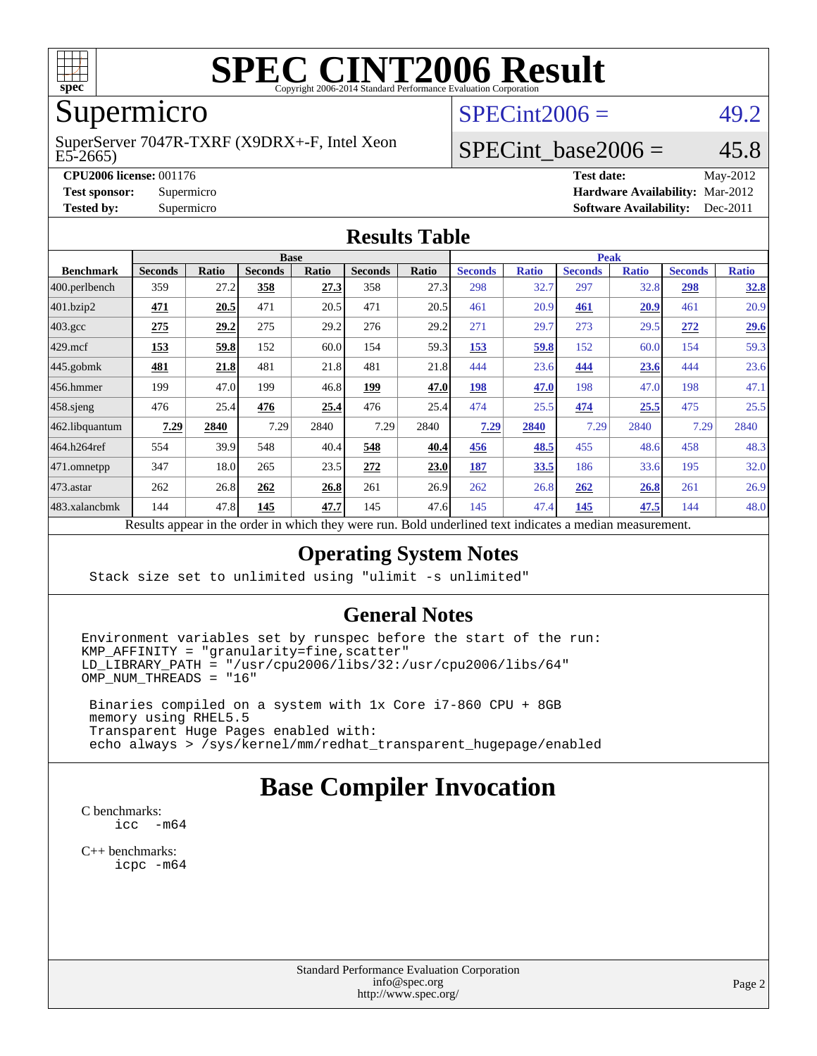

# **[SPEC CINT2006 Result](http://www.spec.org/auto/cpu2006/Docs/result-fields.html#SPECCINT2006Result)**

# Supermicro

#### E5-2665) SuperServer 7047R-TXRF (X9DRX+-F, Intel Xeon

 $SPECint2006 = 49.2$  $SPECint2006 = 49.2$ 

## SPECint base2006 =  $45.8$

**[CPU2006 license:](http://www.spec.org/auto/cpu2006/Docs/result-fields.html#CPU2006license)** 001176 **[Test date:](http://www.spec.org/auto/cpu2006/Docs/result-fields.html#Testdate)** May-2012 **[Test sponsor:](http://www.spec.org/auto/cpu2006/Docs/result-fields.html#Testsponsor)** Supermicro **[Hardware Availability:](http://www.spec.org/auto/cpu2006/Docs/result-fields.html#HardwareAvailability)** Mar-2012 **[Tested by:](http://www.spec.org/auto/cpu2006/Docs/result-fields.html#Testedby)** Supermicro **Supermicro [Software Availability:](http://www.spec.org/auto/cpu2006/Docs/result-fields.html#SoftwareAvailability)** Dec-2011

#### **[Results Table](http://www.spec.org/auto/cpu2006/Docs/result-fields.html#ResultsTable)**

|                         | <b>Base</b>                   |        |                |          |                |       | <b>Peak</b>                                         |              |                |              |                |              |
|-------------------------|-------------------------------|--------|----------------|----------|----------------|-------|-----------------------------------------------------|--------------|----------------|--------------|----------------|--------------|
| <b>Benchmark</b>        | <b>Seconds</b>                | Ratio  | <b>Seconds</b> | Ratio    | <b>Seconds</b> | Ratio | <b>Seconds</b>                                      | <b>Ratio</b> | <b>Seconds</b> | <b>Ratio</b> | <b>Seconds</b> | <b>Ratio</b> |
| $ 400.\text{perlbench}$ | 359                           | 27.2   | 358            | 27.3     | 358            | 27.3  | 298                                                 | 32.7         | 297            | 32.8         | 298            | 32.8         |
| 401.bzip2               | <u>471</u>                    | 20.5   | 471            | 20.5     | 471            | 20.5  | 461                                                 | 20.9         | 461            | 20.9         | 461            | 20.9         |
| $403.\text{gcc}$        | 275                           | 29.2   | 275            | 29.2     | 276            | 29.2  | 271                                                 | 29.7         | 273            | 29.5         | 272            | 29.6         |
| $429$ .mcf              | <u>153</u>                    | 59.8   | 152            | 60.0     | 154            | 59.3  | 153                                                 | 59.8         | 152            | 60.0         | 154            | 59.3         |
| $ 445.\text{gobmk} $    | 481                           | 21.8   | 481            | 21.8     | 481            | 21.8  | 444                                                 | 23.6         | 444            | 23.6         | 444            | 23.6         |
| $ 456$ .hmmer           | 199                           | 47.0   | 199            | 46.8     | 199            | 47.0  | 198                                                 | 47.0         | 198            | 47.0         | 198            | 47.1         |
| $458$ .sjeng            | 476                           | 25.4   | 476            | 25.4     | 476            | 25.4  | 474                                                 | 25.5         | 474            | 25.5         | 475            | 25.5         |
| 462.libquantum          | 7.29                          | 2840   | 7.29           | 2840     | 7.29           | 2840  | 7.29                                                | 2840         | 7.29           | 2840         | 7.29           | 2840         |
| 464.h264ref             | 554                           | 39.9   | 548            | 40.4     | 548            | 40.4  | 456                                                 | 48.5         | 455            | 48.6         | 458            | 48.3         |
| 471.omnetpp             | 347                           | 18.0   | 265            | 23.5     | 272            | 23.0  | 187                                                 | 33.5         | 186            | 33.6         | 195            | 32.0         |
| $ 473$ . astar          | 262                           | 26.8   | 262            | 26.8     | 261            | 26.9  | 262                                                 | 26.8         | 262            | 26.8         | 261            | 26.9         |
| 483.xalancbmk           | 144                           | 47.8   | 145            | 47.7     | 145            | 47.6  | 145                                                 | 47.4         | 145            | 47.5         | 144            | 48.0         |
|                         | $\mathbf{D} \cdot \mathbf{A}$ | 1.11.1 | $\cdot$ .      | 1.3.1.41 |                |       | $D$ and $L$ and $L$ and $L$ and $L$ and $L$ and $L$ |              |                |              |                |              |

Results appear in the [order in which they were run.](http://www.spec.org/auto/cpu2006/Docs/result-fields.html#RunOrder) Bold underlined text [indicates a median measurement.](http://www.spec.org/auto/cpu2006/Docs/result-fields.html#Median)

#### **[Operating System Notes](http://www.spec.org/auto/cpu2006/Docs/result-fields.html#OperatingSystemNotes)**

Stack size set to unlimited using "ulimit -s unlimited"

#### **[General Notes](http://www.spec.org/auto/cpu2006/Docs/result-fields.html#GeneralNotes)**

Environment variables set by runspec before the start of the run:  $KMP_AFFINITY = "granularity=fine, scatter"$  $LD$ \_LIBRARY\_PATH = "/usr/cpu2006/libs/32:/usr/cpu2006/libs/64"  $OMP$  NUM THREADS = "16"

 Binaries compiled on a system with 1x Core i7-860 CPU + 8GB memory using RHEL5.5 Transparent Huge Pages enabled with: echo always > /sys/kernel/mm/redhat\_transparent\_hugepage/enabled

# **[Base Compiler Invocation](http://www.spec.org/auto/cpu2006/Docs/result-fields.html#BaseCompilerInvocation)**

[C benchmarks](http://www.spec.org/auto/cpu2006/Docs/result-fields.html#Cbenchmarks): [icc -m64](http://www.spec.org/cpu2006/results/res2012q3/cpu2006-20120513-21727.flags.html#user_CCbase_intel_icc_64bit_f346026e86af2a669e726fe758c88044)

[C++ benchmarks:](http://www.spec.org/auto/cpu2006/Docs/result-fields.html#CXXbenchmarks) [icpc -m64](http://www.spec.org/cpu2006/results/res2012q3/cpu2006-20120513-21727.flags.html#user_CXXbase_intel_icpc_64bit_fc66a5337ce925472a5c54ad6a0de310)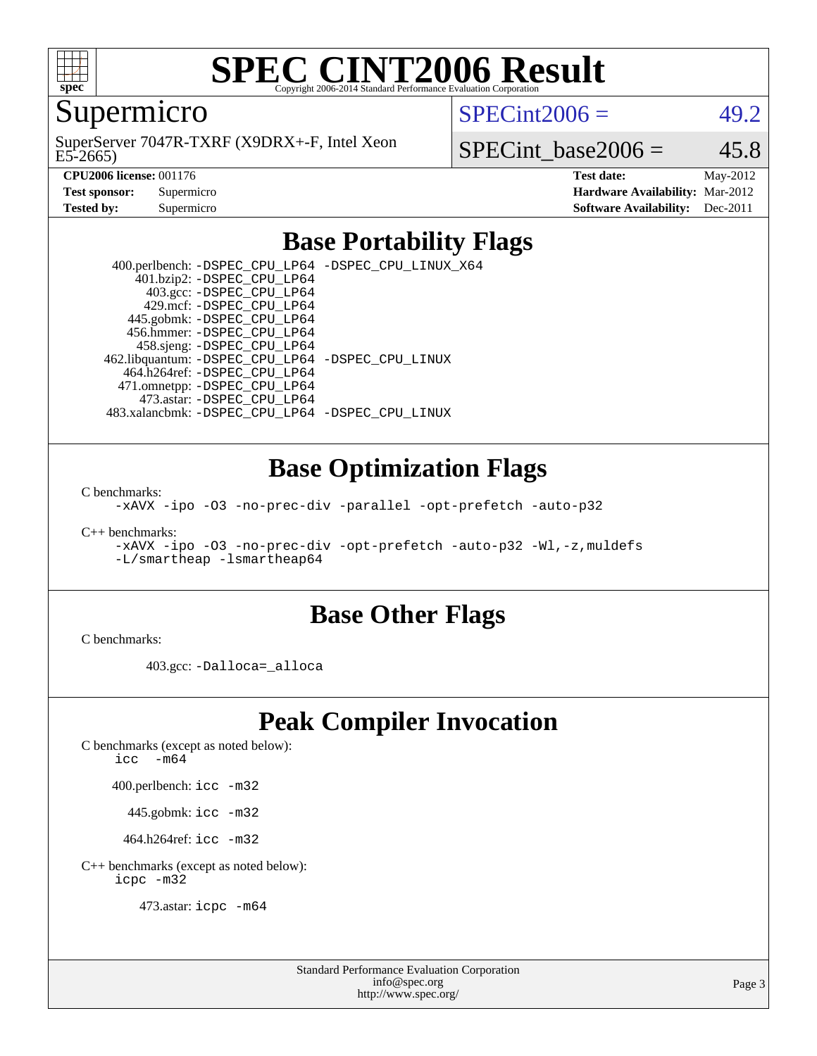

# **[SPEC CINT2006 Result](http://www.spec.org/auto/cpu2006/Docs/result-fields.html#SPECCINT2006Result)**

Supermicro

E5-2665) SuperServer 7047R-TXRF (X9DRX+-F, Intel Xeon  $SPECint2006 = 49.2$  $SPECint2006 = 49.2$ 

SPECint base2006 =  $45.8$ 

**[CPU2006 license:](http://www.spec.org/auto/cpu2006/Docs/result-fields.html#CPU2006license)** 001176 **[Test date:](http://www.spec.org/auto/cpu2006/Docs/result-fields.html#Testdate)** May-2012 **[Test sponsor:](http://www.spec.org/auto/cpu2006/Docs/result-fields.html#Testsponsor)** Supermicro **[Hardware Availability:](http://www.spec.org/auto/cpu2006/Docs/result-fields.html#HardwareAvailability)** Mar-2012 **[Tested by:](http://www.spec.org/auto/cpu2006/Docs/result-fields.html#Testedby)** Supermicro **Supermicro [Software Availability:](http://www.spec.org/auto/cpu2006/Docs/result-fields.html#SoftwareAvailability)** Dec-2011

### **[Base Portability Flags](http://www.spec.org/auto/cpu2006/Docs/result-fields.html#BasePortabilityFlags)**

 400.perlbench: [-DSPEC\\_CPU\\_LP64](http://www.spec.org/cpu2006/results/res2012q3/cpu2006-20120513-21727.flags.html#b400.perlbench_basePORTABILITY_DSPEC_CPU_LP64) [-DSPEC\\_CPU\\_LINUX\\_X64](http://www.spec.org/cpu2006/results/res2012q3/cpu2006-20120513-21727.flags.html#b400.perlbench_baseCPORTABILITY_DSPEC_CPU_LINUX_X64) 401.bzip2: [-DSPEC\\_CPU\\_LP64](http://www.spec.org/cpu2006/results/res2012q3/cpu2006-20120513-21727.flags.html#suite_basePORTABILITY401_bzip2_DSPEC_CPU_LP64) 403.gcc: [-DSPEC\\_CPU\\_LP64](http://www.spec.org/cpu2006/results/res2012q3/cpu2006-20120513-21727.flags.html#suite_basePORTABILITY403_gcc_DSPEC_CPU_LP64) 429.mcf: [-DSPEC\\_CPU\\_LP64](http://www.spec.org/cpu2006/results/res2012q3/cpu2006-20120513-21727.flags.html#suite_basePORTABILITY429_mcf_DSPEC_CPU_LP64) 445.gobmk: [-DSPEC\\_CPU\\_LP64](http://www.spec.org/cpu2006/results/res2012q3/cpu2006-20120513-21727.flags.html#suite_basePORTABILITY445_gobmk_DSPEC_CPU_LP64) 456.hmmer: [-DSPEC\\_CPU\\_LP64](http://www.spec.org/cpu2006/results/res2012q3/cpu2006-20120513-21727.flags.html#suite_basePORTABILITY456_hmmer_DSPEC_CPU_LP64) 458.sjeng: [-DSPEC\\_CPU\\_LP64](http://www.spec.org/cpu2006/results/res2012q3/cpu2006-20120513-21727.flags.html#suite_basePORTABILITY458_sjeng_DSPEC_CPU_LP64) 462.libquantum: [-DSPEC\\_CPU\\_LP64](http://www.spec.org/cpu2006/results/res2012q3/cpu2006-20120513-21727.flags.html#suite_basePORTABILITY462_libquantum_DSPEC_CPU_LP64) [-DSPEC\\_CPU\\_LINUX](http://www.spec.org/cpu2006/results/res2012q3/cpu2006-20120513-21727.flags.html#b462.libquantum_baseCPORTABILITY_DSPEC_CPU_LINUX) 464.h264ref: [-DSPEC\\_CPU\\_LP64](http://www.spec.org/cpu2006/results/res2012q3/cpu2006-20120513-21727.flags.html#suite_basePORTABILITY464_h264ref_DSPEC_CPU_LP64) 471.omnetpp: [-DSPEC\\_CPU\\_LP64](http://www.spec.org/cpu2006/results/res2012q3/cpu2006-20120513-21727.flags.html#suite_basePORTABILITY471_omnetpp_DSPEC_CPU_LP64) 473.astar: [-DSPEC\\_CPU\\_LP64](http://www.spec.org/cpu2006/results/res2012q3/cpu2006-20120513-21727.flags.html#suite_basePORTABILITY473_astar_DSPEC_CPU_LP64) 483.xalancbmk: [-DSPEC\\_CPU\\_LP64](http://www.spec.org/cpu2006/results/res2012q3/cpu2006-20120513-21727.flags.html#suite_basePORTABILITY483_xalancbmk_DSPEC_CPU_LP64) [-DSPEC\\_CPU\\_LINUX](http://www.spec.org/cpu2006/results/res2012q3/cpu2006-20120513-21727.flags.html#b483.xalancbmk_baseCXXPORTABILITY_DSPEC_CPU_LINUX)

#### **[Base Optimization Flags](http://www.spec.org/auto/cpu2006/Docs/result-fields.html#BaseOptimizationFlags)**

[C benchmarks](http://www.spec.org/auto/cpu2006/Docs/result-fields.html#Cbenchmarks):

[-xAVX](http://www.spec.org/cpu2006/results/res2012q3/cpu2006-20120513-21727.flags.html#user_CCbase_f-xAVX) [-ipo](http://www.spec.org/cpu2006/results/res2012q3/cpu2006-20120513-21727.flags.html#user_CCbase_f-ipo) [-O3](http://www.spec.org/cpu2006/results/res2012q3/cpu2006-20120513-21727.flags.html#user_CCbase_f-O3) [-no-prec-div](http://www.spec.org/cpu2006/results/res2012q3/cpu2006-20120513-21727.flags.html#user_CCbase_f-no-prec-div) [-parallel](http://www.spec.org/cpu2006/results/res2012q3/cpu2006-20120513-21727.flags.html#user_CCbase_f-parallel) [-opt-prefetch](http://www.spec.org/cpu2006/results/res2012q3/cpu2006-20120513-21727.flags.html#user_CCbase_f-opt-prefetch) [-auto-p32](http://www.spec.org/cpu2006/results/res2012q3/cpu2006-20120513-21727.flags.html#user_CCbase_f-auto-p32)

[C++ benchmarks:](http://www.spec.org/auto/cpu2006/Docs/result-fields.html#CXXbenchmarks)

[-xAVX](http://www.spec.org/cpu2006/results/res2012q3/cpu2006-20120513-21727.flags.html#user_CXXbase_f-xAVX) [-ipo](http://www.spec.org/cpu2006/results/res2012q3/cpu2006-20120513-21727.flags.html#user_CXXbase_f-ipo) [-O3](http://www.spec.org/cpu2006/results/res2012q3/cpu2006-20120513-21727.flags.html#user_CXXbase_f-O3) [-no-prec-div](http://www.spec.org/cpu2006/results/res2012q3/cpu2006-20120513-21727.flags.html#user_CXXbase_f-no-prec-div) [-opt-prefetch](http://www.spec.org/cpu2006/results/res2012q3/cpu2006-20120513-21727.flags.html#user_CXXbase_f-opt-prefetch) [-auto-p32](http://www.spec.org/cpu2006/results/res2012q3/cpu2006-20120513-21727.flags.html#user_CXXbase_f-auto-p32) [-Wl,-z,muldefs](http://www.spec.org/cpu2006/results/res2012q3/cpu2006-20120513-21727.flags.html#user_CXXbase_link_force_multiple1_74079c344b956b9658436fd1b6dd3a8a) [-L/smartheap -lsmartheap64](http://www.spec.org/cpu2006/results/res2012q3/cpu2006-20120513-21727.flags.html#user_CXXbase_SmartHeap64_5e654037dadeae1fe403ab4b4466e60b)

#### **[Base Other Flags](http://www.spec.org/auto/cpu2006/Docs/result-fields.html#BaseOtherFlags)**

[C benchmarks](http://www.spec.org/auto/cpu2006/Docs/result-fields.html#Cbenchmarks):

403.gcc: [-Dalloca=\\_alloca](http://www.spec.org/cpu2006/results/res2012q3/cpu2006-20120513-21727.flags.html#b403.gcc_baseEXTRA_CFLAGS_Dalloca_be3056838c12de2578596ca5467af7f3)

# **[Peak Compiler Invocation](http://www.spec.org/auto/cpu2006/Docs/result-fields.html#PeakCompilerInvocation)**

[C benchmarks \(except as noted below\)](http://www.spec.org/auto/cpu2006/Docs/result-fields.html#Cbenchmarksexceptasnotedbelow):

icc  $-m64$ 

400.perlbench: [icc -m32](http://www.spec.org/cpu2006/results/res2012q3/cpu2006-20120513-21727.flags.html#user_peakCCLD400_perlbench_intel_icc_a6a621f8d50482236b970c6ac5f55f93)

445.gobmk: [icc -m32](http://www.spec.org/cpu2006/results/res2012q3/cpu2006-20120513-21727.flags.html#user_peakCCLD445_gobmk_intel_icc_a6a621f8d50482236b970c6ac5f55f93)

464.h264ref: [icc -m32](http://www.spec.org/cpu2006/results/res2012q3/cpu2006-20120513-21727.flags.html#user_peakCCLD464_h264ref_intel_icc_a6a621f8d50482236b970c6ac5f55f93)

[C++ benchmarks \(except as noted below\):](http://www.spec.org/auto/cpu2006/Docs/result-fields.html#CXXbenchmarksexceptasnotedbelow) [icpc -m32](http://www.spec.org/cpu2006/results/res2012q3/cpu2006-20120513-21727.flags.html#user_CXXpeak_intel_icpc_4e5a5ef1a53fd332b3c49e69c3330699)

473.astar: [icpc -m64](http://www.spec.org/cpu2006/results/res2012q3/cpu2006-20120513-21727.flags.html#user_peakCXXLD473_astar_intel_icpc_64bit_fc66a5337ce925472a5c54ad6a0de310)

Standard Performance Evaluation Corporation [info@spec.org](mailto:info@spec.org) <http://www.spec.org/>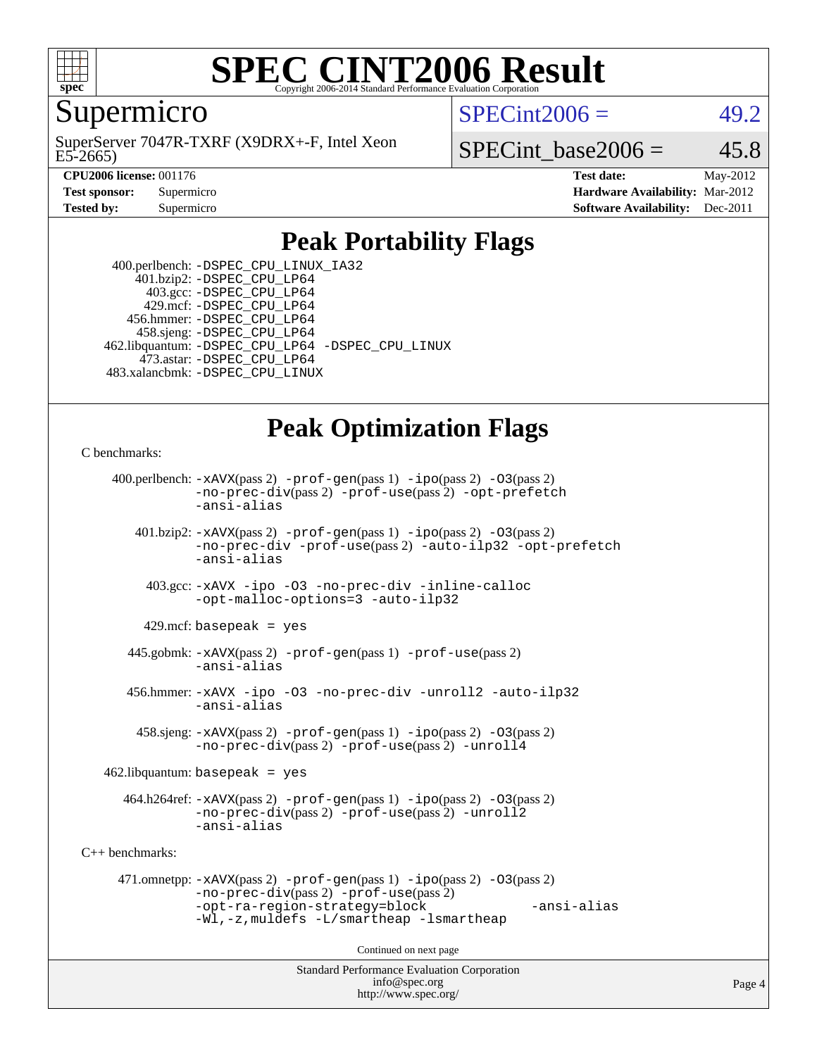

#### **[SPEC CINT2006 Result](http://www.spec.org/auto/cpu2006/Docs/result-fields.html#SPECCINT2006Result)** Copyright 2006-2014 Standard Performance Evaluation C

Supermicro

E5-2665) SuperServer 7047R-TXRF (X9DRX+-F, Intel Xeon  $SPECint2006 = 49.2$  $SPECint2006 = 49.2$ 

SPECint base2006 =  $45.8$ 

**[CPU2006 license:](http://www.spec.org/auto/cpu2006/Docs/result-fields.html#CPU2006license)** 001176 **[Test date:](http://www.spec.org/auto/cpu2006/Docs/result-fields.html#Testdate)** May-2012 **[Test sponsor:](http://www.spec.org/auto/cpu2006/Docs/result-fields.html#Testsponsor)** Supermicro **[Hardware Availability:](http://www.spec.org/auto/cpu2006/Docs/result-fields.html#HardwareAvailability)** Mar-2012 **[Tested by:](http://www.spec.org/auto/cpu2006/Docs/result-fields.html#Testedby)** Supermicro **Supermicro [Software Availability:](http://www.spec.org/auto/cpu2006/Docs/result-fields.html#SoftwareAvailability)** Dec-2011

### **[Peak Portability Flags](http://www.spec.org/auto/cpu2006/Docs/result-fields.html#PeakPortabilityFlags)**

 400.perlbench: [-DSPEC\\_CPU\\_LINUX\\_IA32](http://www.spec.org/cpu2006/results/res2012q3/cpu2006-20120513-21727.flags.html#b400.perlbench_peakCPORTABILITY_DSPEC_CPU_LINUX_IA32) 401.bzip2: [-DSPEC\\_CPU\\_LP64](http://www.spec.org/cpu2006/results/res2012q3/cpu2006-20120513-21727.flags.html#suite_peakPORTABILITY401_bzip2_DSPEC_CPU_LP64) 403.gcc: [-DSPEC\\_CPU\\_LP64](http://www.spec.org/cpu2006/results/res2012q3/cpu2006-20120513-21727.flags.html#suite_peakPORTABILITY403_gcc_DSPEC_CPU_LP64) 429.mcf: [-DSPEC\\_CPU\\_LP64](http://www.spec.org/cpu2006/results/res2012q3/cpu2006-20120513-21727.flags.html#suite_peakPORTABILITY429_mcf_DSPEC_CPU_LP64) 456.hmmer: [-DSPEC\\_CPU\\_LP64](http://www.spec.org/cpu2006/results/res2012q3/cpu2006-20120513-21727.flags.html#suite_peakPORTABILITY456_hmmer_DSPEC_CPU_LP64) 458.sjeng: [-DSPEC\\_CPU\\_LP64](http://www.spec.org/cpu2006/results/res2012q3/cpu2006-20120513-21727.flags.html#suite_peakPORTABILITY458_sjeng_DSPEC_CPU_LP64) 462.libquantum: [-DSPEC\\_CPU\\_LP64](http://www.spec.org/cpu2006/results/res2012q3/cpu2006-20120513-21727.flags.html#suite_peakPORTABILITY462_libquantum_DSPEC_CPU_LP64) [-DSPEC\\_CPU\\_LINUX](http://www.spec.org/cpu2006/results/res2012q3/cpu2006-20120513-21727.flags.html#b462.libquantum_peakCPORTABILITY_DSPEC_CPU_LINUX) 473.astar: [-DSPEC\\_CPU\\_LP64](http://www.spec.org/cpu2006/results/res2012q3/cpu2006-20120513-21727.flags.html#suite_peakPORTABILITY473_astar_DSPEC_CPU_LP64) 483.xalancbmk: [-DSPEC\\_CPU\\_LINUX](http://www.spec.org/cpu2006/results/res2012q3/cpu2006-20120513-21727.flags.html#b483.xalancbmk_peakCXXPORTABILITY_DSPEC_CPU_LINUX)

# **[Peak Optimization Flags](http://www.spec.org/auto/cpu2006/Docs/result-fields.html#PeakOptimizationFlags)**

[C benchmarks](http://www.spec.org/auto/cpu2006/Docs/result-fields.html#Cbenchmarks):

```
Standard Performance Evaluation Corporation
                                          info@spec.org
     400.perlbench: -xAVX(pass 2) -prof-gen(pass 1) -ipo(pass 2) -O3(pass 2)
                -no-prec-div(pass 2) -prof-use(pass 2) -opt-prefetch
                -ansi-alias
        401.bzip2: -xAVX(pass 2) -prof-gen(pass 1) -ipo(pass 2) -O3(pass 2)
                -no-prec-div -prof-use(pass 2) -auto-ilp32 -opt-prefetch
                -ansi-alias
          403.gcc: -xAVX -ipo -O3 -no-prec-div -inline-calloc
                -opt-malloc-options=3 -auto-ilp32
         429.mcf: basepeak = yes
       445.gobmk: -xAVX(pass 2) -prof-gen(pass 1) -prof-use(pass 2)
                -ansi-alias
       456.hmmer: -xAVX -ipo -O3 -no-prec-div -unroll2 -auto-ilp32
                -ansi-alias
         458.sjeng: -xAVX(pass 2) -prof-gen(pass 1) -ipo(pass 2) -O3(pass 2)
                -no-prec-div(pass 2) -prof-use(pass 2) -unroll4
    462.libquantum: basepeak = yes
       464.h264ref: -xAVX(pass 2) -prof-gen(pass 1) -ipo(pass 2) -O3(pass 2)
                -no-prec-div(pass 2) -prof-use(pass 2) -unroll2
                -ansi-alias
C++ benchmarks: 
      471.omnetpp: -xAVX(pass 2) -prof-gen(pass 1) -ipo(pass 2) -O3(pass 2)
                -no-prec-div(pass 2) -prof-use(pass 2)
                -opt-ra-region-strategy=block -ansi-alias
                -Wl,-z,muldefs -L/smartheap -lsmartheap
                                        Continued on next page
```
<http://www.spec.org/>

Page 4